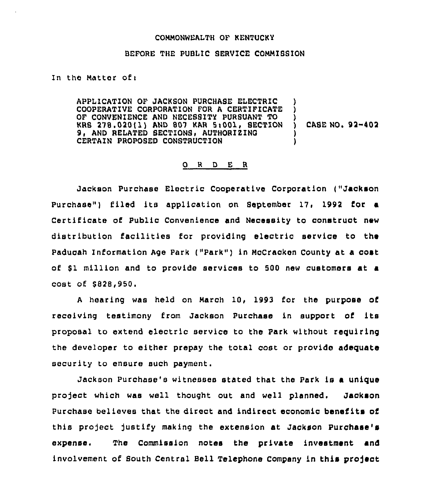## COMMONWEALTH OF KENTUCKY

## BEFORE THE PUBLIC SERVICE COMMIBSION

In the Matter of:

APPLICATION OF JACKSON PURCHASE ELECTRIC COOPERATIVE CORPORATION FOR A CERTIFICATE OF CONVENIENCE AND NECESSITY PURSUANT TO KRS 278.020(1) AND 807 KAR 5:001, SECTION 9. AND RELATED SECTIONS, AUTHORIZING CERTAIN PROPOSED CONSTRUCTION ) )  $\Delta$ ) CASE NOs 92 402 ) )

## 0 <sup>R</sup> <sup>D</sup> E <sup>R</sup>

Jackson Purchase Electric Cooperative Corporation ("Jackson Purchase") filed its application on September 17, 1992 for a Certificate of Public Convenience and Necessity to construct new distribution facilities for providing electric service to ths Paducah Information Age Park ("Park" ) in McCracken County at a oost of 81 million and to provide services to 500 new customers at a cost of \$828,950.

<sup>A</sup> hearing was held on March 10, 1993 for the purpose of receiving testimony from Jackson Purchase in support of its proposal to extend electric service to the Park without requiring the developer to either prepay the total cost or provide adequate security to ensure such payment.

Jackson Purchase's witnesses stated that the Park is a unique project which was well thought out and well planned. Jackson Purchase believes that the direct and indirect economic benefits of this project justify making the extension at Jackson Purchase's expense. The Commission notes the private investment and involvement of South Central Bell Telephone Company in this project